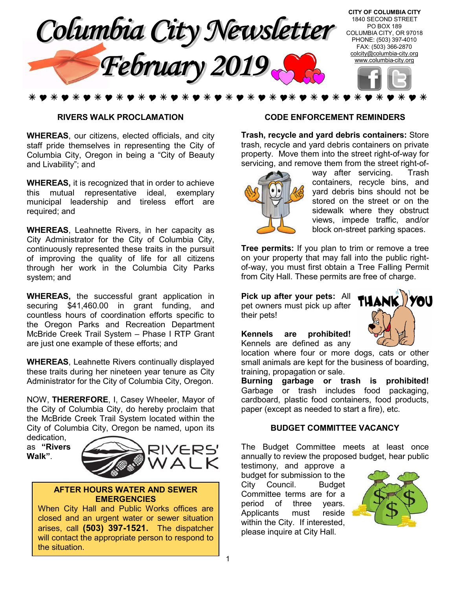

#### **RIVERS WALK PROCLAMATION**

**WHEREAS**, our citizens, elected officials, and city staff pride themselves in representing the City of Columbia City, Oregon in being a "City of Beauty and Livability"; and

**WHEREAS,** it is recognized that in order to achieve this mutual representative ideal, exemplary municipal leadership and tireless effort are required; and

**WHEREAS**, Leahnette Rivers, in her capacity as City Administrator for the City of Columbia City, continuously represented these traits in the pursuit of improving the quality of life for all citizens through her work in the Columbia City Parks system; and

**WHEREAS,** the successful grant application in securing \$41,460.00 in grant funding, and countless hours of coordination efforts specific to the Oregon Parks and Recreation Department McBride Creek Trail System – Phase I RTP Grant are just one example of these efforts; and

**WHEREAS**, Leahnette Rivers continually displayed these traits during her nineteen year tenure as City Administrator for the City of Columbia City, Oregon.

NOW, **THERERFORE**, I, Casey Wheeler, Mayor of the City of Columbia City, do hereby proclaim that the McBride Creek Trail System located within the City of Columbia City, Oregon be named, upon its dedication,

as **"Rivers Walk"**.



#### **AFTER HOURS WATER AND SEWER EMERGENCIES**

When City Hall and Public Works offices are closed and an urgent water or sewer situation arises, call **(503) 397-1521.** The dispatcher will contact the appropriate person to respond to the situation.

#### **CODE ENFORCEMENT REMINDERS**

**Trash, recycle and yard debris containers:** Store trash, recycle and yard debris containers on private property. Move them into the street right-of-way for servicing, and remove them from the street right-of-



way after servicing. Trash containers, recycle bins, and yard debris bins should not be stored on the street or on the sidewalk where they obstruct views, impede traffic, and/or block on-street parking spaces.

**Tree permits:** If you plan to trim or remove a tree on your property that may fall into the public rightof-way, you must first obtain a Tree Falling Permit from City Hall. These permits are free of charge.

**Pick up after your pets:** All pet owners must pick up after their pets!

**Kennels are prohibited!** Kennels are defined as any



location where four or more dogs, cats or other small animals are kept for the business of boarding, training, propagation or sale.

**Burning garbage or trash is prohibited!**  Garbage or trash includes food packaging, cardboard, plastic food containers, food products, paper (except as needed to start a fire), etc.

#### **BUDGET COMMITTEE VACANCY**

The Budget Committee meets at least once annually to review the proposed budget, hear public

testimony, and approve a budget for submission to the City Council. Budget Committee terms are for a period of three years. Applicants must reside within the City. If interested, please inquire at City Hall.

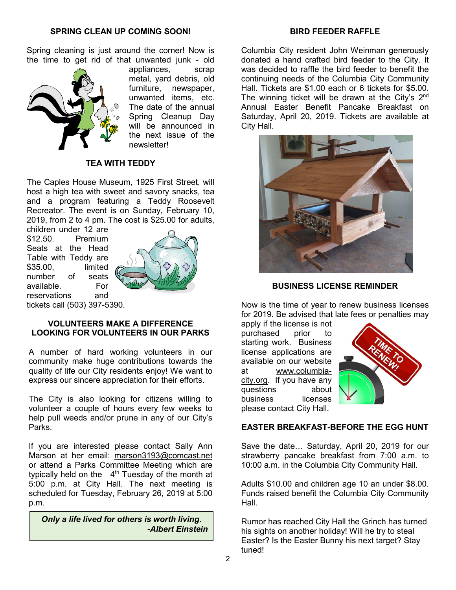### **BIRD FEEDER RAFFLE**

Spring cleaning is just around the corner! Now is the time to get rid of that unwanted junk - old



appliances, scrap metal, yard debris, old furniture, newspaper, unwanted items, etc. The date of the annual Spring Cleanup Day will be announced in the next issue of the newsletter!

## **TEA WITH TEDDY**

The Caples House Museum, 1925 First Street, will host a high tea with sweet and savory snacks, tea and a program featuring a Teddy Roosevelt Recreator. The event is on Sunday, February 10, 2019, from 2 to 4 pm. The cost is \$25.00 for adults,

children under 12 are \$12.50. Premium Seats at the Head Table with Teddy are \$35.00, limited number of seats available. For reservations and tickets call (503) 397-5390.



**VOLUNTEERS MAKE A DIFFERENCE LOOKING FOR VOLUNTEERS IN OUR PARKS**

A number of hard working volunteers in our community make huge contributions towards the quality of life our City residents enjoy! We want to express our sincere appreciation for their efforts.

The City is also looking for citizens willing to volunteer a couple of hours every few weeks to help pull weeds and/or prune in any of our City's Parks.

If you are interested please contact Sally Ann Marson at her email: marson3193@comcast.net or attend a Parks Committee Meeting which are typically held on the  $4<sup>th</sup>$  Tuesday of the month at 5:00 p.m. at City Hall. The next meeting is scheduled for Tuesday, February 26, 2019 at 5:00 p.m.

*Only a life lived for others is worth living. -Albert Einstein*

Columbia City resident John Weinman generously donated a hand crafted bird feeder to the City. It was decided to raffle the bird feeder to benefit the continuing needs of the Columbia City Community Hall. Tickets are \$1.00 each or 6 tickets for \$5.00. The winning ticket will be drawn at the City's  $2^{nd}$ Annual Easter Benefit Pancake Breakfast on Saturday, April 20, 2019. Tickets are available at City Hall.



#### **BUSINESS LICENSE REMINDER**

Now is the time of year to renew business licenses for 2019. Be advised that late fees or penalties may

apply if the license is not<br>purchased prior to purchased prior to starting work. Business license applications are available on our website at www.columbiacity.org. If you have any questions about business licenses please contact City Hall.



#### **EASTER BREAKFAST-BEFORE THE EGG HUNT**

Save the date… Saturday, April 20, 2019 for our strawberry pancake breakfast from 7:00 a.m. to 10:00 a.m. in the Columbia City Community Hall.

Adults \$10.00 and children age 10 an under \$8.00. Funds raised benefit the Columbia City Community Hall.

Rumor has reached City Hall the Grinch has turned his sights on another holiday! Will he try to steal Easter? Is the Easter Bunny his next target? Stay tuned!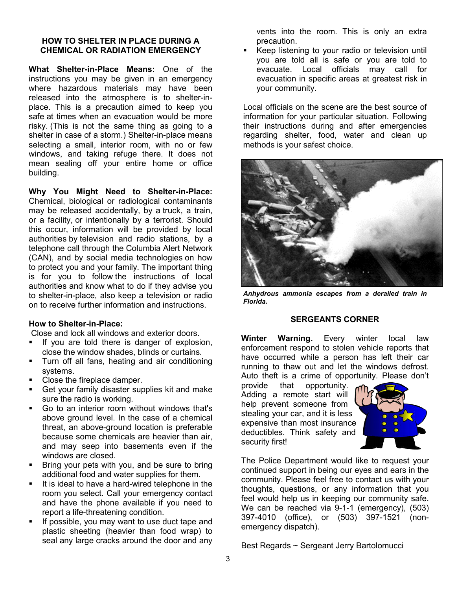#### **HOW TO SHELTER IN PLACE DURING A CHEMICAL OR RADIATION EMERGENCY**

**What Shelter-in-Place Means:** One of the instructions you may be given in an emergency where hazardous materials may have been released into the atmosphere is to shelter-inplace. This is a precaution aimed to keep you safe at times when an evacuation would be more risky. (This is not the same thing as going to a shelter in case of a storm.) Shelter-in-place means selecting a small, interior room, with no or few windows, and taking refuge there. It does not mean sealing off your entire home or office building.

**Why You Might Need to Shelter-in-Place:** Chemical, biological or radiological contaminants may be released accidentally, by a truck, a train, or a facility, or intentionally by a terrorist. Should this occur, information will be provided by local authorities by television and radio stations, by a telephone call through the Columbia Alert Network (CAN), and by social media technologies on how to protect you and your family. The important thing is for you to follow the instructions of local authorities and know what to do if they advise you to shelter-in-place, also keep a television or radio on to receive further information and instructions.

#### **How to Shelter-in-Place:**

Close and lock all windows and exterior doors.

- If you are told there is danger of explosion, close the window shades, blinds or curtains.
- **Turn off all fans, heating and air conditioning** systems.
- Close the fireplace damper.
- Get your family disaster supplies kit and make sure the radio is working.
- Go to an interior room without windows that's above ground level. In the case of a chemical threat, an above-ground location is preferable because some chemicals are heavier than air, and may seep into basements even if the windows are closed.
- Bring your pets with you, and be sure to bring additional food and water supplies for them.
- It is ideal to have a hard-wired telephone in the room you select. Call your emergency contact and have the phone available if you need to report a life-threatening condition.
- If possible, you may want to use duct tape and plastic sheeting (heavier than food wrap) to seal any large cracks around the door and any

vents into the room. This is only an extra precaution.

 Keep listening to your radio or television until you are told all is safe or you are told to evacuate. Local officials may call for evacuation in specific areas at greatest risk in your community.

Local officials on the scene are the best source of information for your particular situation. Following their instructions during and after emergencies regarding shelter, food, water and clean up methods is your safest choice.



*Anhydrous ammonia escapes from a derailed train in Florida.*

## **SERGEANTS CORNER**

**Winter Warning.** Every winter local law enforcement respond to stolen vehicle reports that have occurred while a person has left their car running to thaw out and let the windows defrost. Auto theft is a crime of opportunity. Please don't

provide that opportunity. Adding a remote start will help prevent someone from stealing your car, and it is less expensive than most insurance deductibles. Think safety and security first!



The Police Department would like to request your continued support in being our eyes and ears in the community. Please feel free to contact us with your thoughts, questions, or any information that you feel would help us in keeping our community safe. We can be reached via 9-1-1 (emergency), (503) 397-4010 (office), or (503) 397-1521 (nonemergency dispatch).

Best Regards ~ Sergeant Jerry Bartolomucci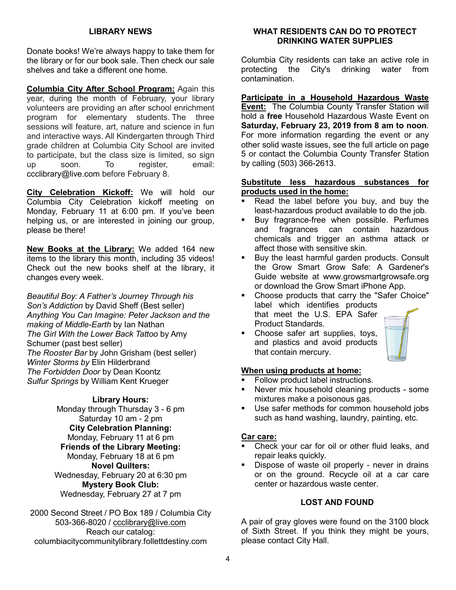## **LIBRARY NEWS**

Donate books! We're always happy to take them for the library or for our book sale. Then check our sale shelves and take a different one home.

**Columbia City After School Program:** Again this year, during the month of February, your library volunteers are providing an after school enrichment program for elementary students. The three sessions will feature, art, nature and science in fun and interactive ways. All Kindergarten through Third grade children at Columbia City School are invited to participate, but the class size is limited, so sign up soon. To register, email: ccclibrary@live.com before February 8.

**City Celebration Kickoff:** We will hold our Columbia City Celebration kickoff meeting on Monday, February 11 at 6:00 pm. If you've been helping us, or are interested in joining our group, please be there!

**New Books at the Library:** We added 164 new items to the library this month, including 35 videos! Check out the new books shelf at the library, it changes every week.

*Beautiful Boy: A Father's Journey Through his Son's Addiction* by David Sheff (Best seller) *Anything You Can Imagine: Peter Jackson and the making of Middle-Earth* by Ian Nathan *The Girl With the Lower Back Tattoo* by Amy Schumer (past best seller) *The Rooster Bar* by John Grisham (best seller) *Winter Storms by* Elin Hilderbrand *The Forbidden Door* by Dean Koontz *Sulfur Springs* by William Kent Krueger

#### **Library Hours:**

Monday through Thursday 3 - 6 pm Saturday 10 am - 2 pm **City Celebration Planning:** Monday, February 11 at 6 pm **Friends of the Library Meeting:** Monday, February 18 at 6 pm **Novel Quilters:** Wednesday, February 20 at 6:30 pm **Mystery Book Club:** Wednesday, February 27 at 7 pm

2000 Second Street / PO Box 189 / Columbia City 503-366-8020 / ccclibrary@live.com Reach our catalog: columbiacitycommunitylibrary.follettdestiny.com

#### **WHAT RESIDENTS CAN DO TO PROTECT DRINKING WATER SUPPLIES**

Columbia City residents can take an active role in protecting the City's drinking water from contamination.

**Participate in a Household Hazardous Waste Event:** The Columbia County Transfer Station will hold a **free** Household Hazardous Waste Event on **Saturday, February 23, 2019 from 8 am to noon**. For more information regarding the event or any other solid waste issues, see the full article on page 5 or contact the Columbia County Transfer Station by calling (503) 366-2613.

#### **Substitute less hazardous substances for products used in the home:**

- Read the label before you buy, and buy the least-hazardous product available to do the job.
- Buy fragrance-free when possible. Perfumes and fragrances can contain hazardous chemicals and trigger an asthma attack or affect those with sensitive skin.
- **Buy the least harmful garden products. Consult** the Grow Smart Grow Safe: A Gardener's Guide website at www.growsmartgrowsafe.org or download the Grow Smart iPhone App.
- Choose products that carry the "Safer Choice" label which identifies products that meet the U.S. EPA Safer Product Standards.
- Choose safer art supplies, toys, and plastics and avoid products that contain mercury.

## **When using products at home:**

- Follow product label instructions.
- Never mix household cleaning products some mixtures make a poisonous gas.
- Use safer methods for common household jobs such as hand washing, laundry, painting, etc.

#### **Car care:**

- Check your car for oil or other fluid leaks, and repair leaks quickly.
- Dispose of waste oil properly never in drains or on the ground. Recycle oil at a car care center or hazardous waste center.

## **LOST AND FOUND**

A pair of gray gloves were found on the 3100 block of Sixth Street. If you think they might be yours, please contact City Hall.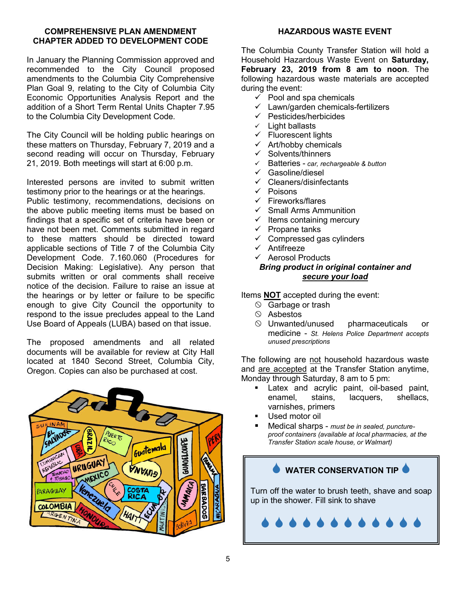## **COMPREHENSIVE PLAN AMENDMENT CHAPTER ADDED TO DEVELOPMENT CODE**

In January the Planning Commission approved and recommended to the City Council proposed amendments to the Columbia City Comprehensive Plan Goal 9, relating to the City of Columbia City Economic Opportunities Analysis Report and the addition of a Short Term Rental Units Chapter 7.95 to the Columbia City Development Code.

The City Council will be holding public hearings on these matters on Thursday, February 7, 2019 and a second reading will occur on Thursday, February 21, 2019. Both meetings will start at 6:00 p.m.

Interested persons are invited to submit written testimony prior to the hearings or at the hearings.

Public testimony, recommendations, decisions on the above public meeting items must be based on findings that a specific set of criteria have been or have not been met. Comments submitted in regard to these matters should be directed toward applicable sections of Title 7 of the Columbia City Development Code. 7.160.060 (Procedures for Decision Making: Legislative). Any person that submits written or oral comments shall receive notice of the decision. Failure to raise an issue at the hearings or by letter or failure to be specific enough to give City Council the opportunity to respond to the issue precludes appeal to the Land Use Board of Appeals (LUBA) based on that issue.

The proposed amendments and all related documents will be available for review at City Hall located at 1840 Second Street, Columbia City, Oregon. Copies can also be purchased at cost.



## **HAZARDOUS WASTE EVENT**

The Columbia County Transfer Station will hold a Household Hazardous Waste Event on **Saturday, February 23, 2019 from 8 am to noon**. The following hazardous waste materials are accepted during the event:

- $\checkmark$  Pool and spa chemicals
- Lawn/garden chemicals-fertilizers
- $\checkmark$  Pesticides/herbicides
- $\checkmark$  Light ballasts
- $\checkmark$  Fluorescent lights
- $\checkmark$  Art/hobby chemicals
- $\checkmark$  Solvents/thinners
- Batteries *car, rechargeable & button*
- Gasoline/diesel
- $\checkmark$  Cleaners/disinfectants
- $\checkmark$  Poisons
- $\checkmark$  Fireworks/flares
- $\checkmark$  Small Arms Ammunition
- $\checkmark$  Items containing mercury
- $\checkmark$  Propane tanks
- $\checkmark$  Compressed gas cylinders
- $\times$  Antifreeze
- $\checkmark$  Aerosol Products

## *Bring product in original container and secure your load*

Items **NOT** accepted during the event:

- $\circledcirc$  Garbage or trash
- $\circledcirc$  Asbestos
- $\circledcirc$  Unwanted/unused pharmaceuticals or medicine - *St. Helens Police Department accepts unused prescriptions*

The following are not household hazardous waste and are accepted at the Transfer Station anytime, Monday through Saturday, 8 am to 5 pm:

- **EXEC** 1. Latex and acrylic paint, oil-based paint, enamel, stains, lacquers, shellacs, varnishes, primers
- Used motor oil
- Medical sharps *must be in sealed, punctureproof containers (available at local pharmacies, at the Transfer Station scale house, or Walmart)*